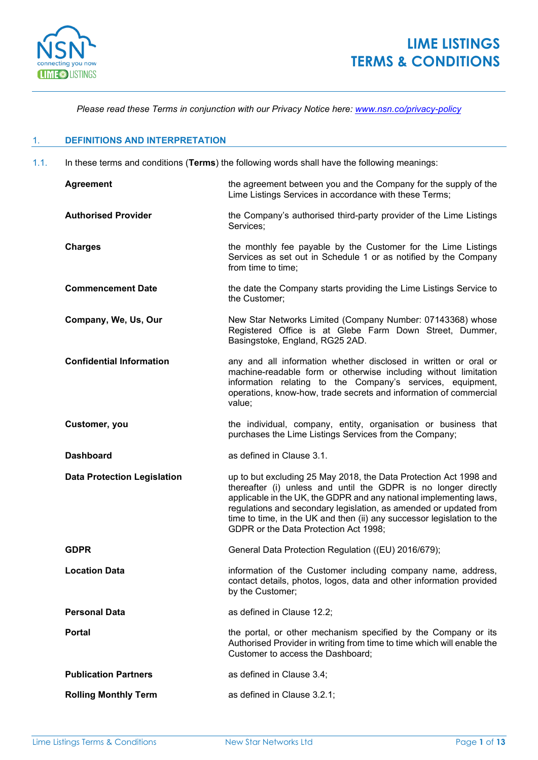

*Please read these Terms in conjunction with our Privacy Notice here: [www.nsn.co/privacy-policy](https://www.nsn.co/privacy-policy/)*

## 1. **DEFINITIONS AND INTERPRETATION**

1.1. In these terms and conditions (**Terms**) the following words shall have the following meanings:

| <b>Agreement</b>                   | the agreement between you and the Company for the supply of the<br>Lime Listings Services in accordance with these Terms;                                                                                                                                                                                                                                                                         |  |
|------------------------------------|---------------------------------------------------------------------------------------------------------------------------------------------------------------------------------------------------------------------------------------------------------------------------------------------------------------------------------------------------------------------------------------------------|--|
| <b>Authorised Provider</b>         | the Company's authorised third-party provider of the Lime Listings<br>Services;                                                                                                                                                                                                                                                                                                                   |  |
| <b>Charges</b>                     | the monthly fee payable by the Customer for the Lime Listings<br>Services as set out in Schedule 1 or as notified by the Company<br>from time to time;                                                                                                                                                                                                                                            |  |
| <b>Commencement Date</b>           | the date the Company starts providing the Lime Listings Service to<br>the Customer;                                                                                                                                                                                                                                                                                                               |  |
| Company, We, Us, Our               | New Star Networks Limited (Company Number: 07143368) whose<br>Registered Office is at Glebe Farm Down Street, Dummer,<br>Basingstoke, England, RG25 2AD.                                                                                                                                                                                                                                          |  |
| <b>Confidential Information</b>    | any and all information whether disclosed in written or oral or<br>machine-readable form or otherwise including without limitation<br>information relating to the Company's services, equipment,<br>operations, know-how, trade secrets and information of commercial<br>value;                                                                                                                   |  |
| Customer, you                      | the individual, company, entity, organisation or business that<br>purchases the Lime Listings Services from the Company;                                                                                                                                                                                                                                                                          |  |
|                                    |                                                                                                                                                                                                                                                                                                                                                                                                   |  |
| <b>Dashboard</b>                   | as defined in Clause 3.1.                                                                                                                                                                                                                                                                                                                                                                         |  |
| <b>Data Protection Legislation</b> | up to but excluding 25 May 2018, the Data Protection Act 1998 and<br>thereafter (i) unless and until the GDPR is no longer directly<br>applicable in the UK, the GDPR and any national implementing laws,<br>regulations and secondary legislation, as amended or updated from<br>time to time, in the UK and then (ii) any successor legislation to the<br>GDPR or the Data Protection Act 1998; |  |
| <b>GDPR</b>                        | General Data Protection Regulation ((EU) 2016/679);                                                                                                                                                                                                                                                                                                                                               |  |
| <b>Location Data</b>               | information of the Customer including company name, address,<br>contact details, photos, logos, data and other information provided<br>by the Customer;                                                                                                                                                                                                                                           |  |
| <b>Personal Data</b>               | as defined in Clause 12.2;                                                                                                                                                                                                                                                                                                                                                                        |  |
| <b>Portal</b>                      | the portal, or other mechanism specified by the Company or its<br>Authorised Provider in writing from time to time which will enable the<br>Customer to access the Dashboard;                                                                                                                                                                                                                     |  |
| <b>Publication Partners</b>        | as defined in Clause 3.4;                                                                                                                                                                                                                                                                                                                                                                         |  |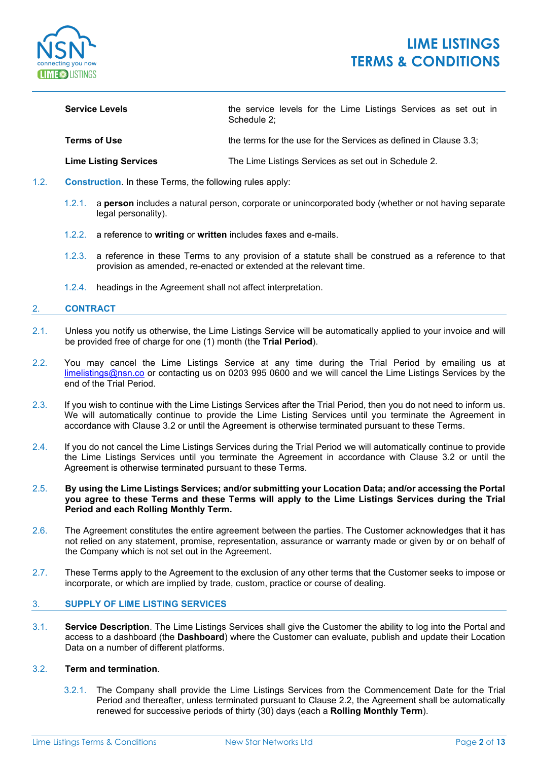

# **LIME LISTINGS TERMS & CONDITIONS**

| <b>Service Levels</b> | the service levels for the Lime Listings Services as set out in<br>Schedule 2: |
|-----------------------|--------------------------------------------------------------------------------|
| Terms of Use          | the terms for the use for the Services as defined in Clause 3.3;               |

**Lime Listing Services** The Lime Listings Services as set out in Schedule 2.

- 1.2. **Construction**. In these Terms, the following rules apply:
	- 1.2.1. a **person** includes a natural person, corporate or unincorporated body (whether or not having separate legal personality).
	- 1.2.2. a reference to **writing** or **written** includes faxes and e-mails.
	- 1.2.3. a reference in these Terms to any provision of a statute shall be construed as a reference to that provision as amended, re-enacted or extended at the relevant time.
	- 1.2.4. headings in the Agreement shall not affect interpretation.

### 2. **CONTRACT**

- 2.1. Unless you notify us otherwise, the Lime Listings Service will be automatically applied to your invoice and will be provided free of charge for one (1) month (the **Trial Period**).
- 2.2. You may cancel the Lime Listings Service at any time during the Trial Period by emailing us at [limelistings@nsn.co](mailto:limelistings@nsn.co?subject=Lime%20Listings%20Trial%20Cancellation%20Request) or contacting us on 0203 995 0600 and we will cancel the Lime Listings Services by the end of the Trial Period.
- 2.3. If you wish to continue with the Lime Listings Services after the Trial Period, then you do not need to inform us. We will automatically continue to provide the Lime Listing Services until you terminate the Agreement in accordance with Clause 3.2 or until the Agreement is otherwise terminated pursuant to these Terms.
- 2.4. If you do not cancel the Lime Listings Services during the Trial Period we will automatically continue to provide the Lime Listings Services until you terminate the Agreement in accordance with Clause 3.2 or until the Agreement is otherwise terminated pursuant to these Terms.
- 2.5. **By using the Lime Listings Services; and/or submitting your Location Data; and/or accessing the Portal you agree to these Terms and these Terms will apply to the Lime Listings Services during the Trial Period and each Rolling Monthly Term.**
- 2.6. The Agreement constitutes the entire agreement between the parties. The Customer acknowledges that it has not relied on any statement, promise, representation, assurance or warranty made or given by or on behalf of the Company which is not set out in the Agreement.
- 2.7. These Terms apply to the Agreement to the exclusion of any other terms that the Customer seeks to impose or incorporate, or which are implied by trade, custom, practice or course of dealing.

## 3. **SUPPLY OF LIME LISTING SERVICES**

3.1. **Service Description**. The Lime Listings Services shall give the Customer the ability to log into the Portal and access to a dashboard (the **Dashboard**) where the Customer can evaluate, publish and update their Location Data on a number of different platforms.

#### 3.2. **Term and termination**.

3.2.1. The Company shall provide the Lime Listings Services from the Commencement Date for the Trial Period and thereafter, unless terminated pursuant to Clause 2.2, the Agreement shall be automatically renewed for successive periods of thirty (30) days (each a **Rolling Monthly Term**).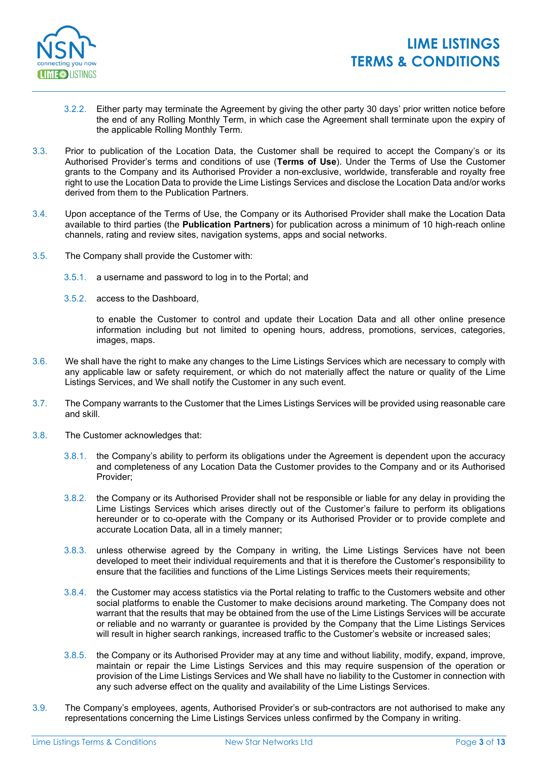

- 3.2.2. Either party may terminate the Agreement by giving the other party 30 days' prior written notice before the end of any Rolling Monthly Term, in which case the Agreement shall terminate upon the expiry of the applicable Rolling Monthly Term.
- 3.3. Prior to publication of the Location Data, the Customer shall be required to accept the Company's or its Authorised Provider's terms and conditions of use (**Terms of Use**). Under the Terms of Use the Customer grants to the Company and its Authorised Provider a non-exclusive, worldwide, transferable and royalty free right to use the Location Data to provide the Lime Listings Services and disclose the Location Data and/or works derived from them to the Publication Partners.
- 3.4. Upon acceptance of the Terms of Use, the Company or its Authorised Provider shall make the Location Data available to third parties (the **Publication Partners**) for publication across a minimum of 10 high-reach online channels, rating and review sites, navigation systems, apps and social networks.
- 3.5. The Company shall provide the Customer with:
	- 3.5.1. a username and password to log in to the Portal; and
	- 3.5.2. access to the Dashboard,

to enable the Customer to control and update their Location Data and all other online presence information including but not limited to opening hours, address, promotions, services, categories, images, maps.

- 3.6. We shall have the right to make any changes to the Lime Listings Services which are necessary to comply with any applicable law or safety requirement, or which do not materially affect the nature or quality of the Lime Listings Services, and We shall notify the Customer in any such event.
- 3.7. The Company warrants to the Customer that the Limes Listings Services will be provided using reasonable care and skill.
- 3.8. The Customer acknowledges that:
	- 3.8.1. the Company's ability to perform its obligations under the Agreement is dependent upon the accuracy and completeness of any Location Data the Customer provides to the Company and or its Authorised Provider;
	- 3.8.2. the Company or its Authorised Provider shall not be responsible or liable for any delay in providing the Lime Listings Services which arises directly out of the Customer's failure to perform its obligations hereunder or to co-operate with the Company or its Authorised Provider or to provide complete and accurate Location Data, all in a timely manner;
	- 3.8.3. unless otherwise agreed by the Company in writing, the Lime Listings Services have not been developed to meet their individual requirements and that it is therefore the Customer's responsibility to ensure that the facilities and functions of the Lime Listings Services meets their requirements;
	- 3.8.4. the Customer may access statistics via the Portal relating to traffic to the Customers website and other social platforms to enable the Customer to make decisions around marketing. The Company does not warrant that the results that may be obtained from the use of the Lime Listings Services will be accurate or reliable and no warranty or guarantee is provided by the Company that the Lime Listings Services will result in higher search rankings, increased traffic to the Customer's website or increased sales;
	- 3.8.5. the Company or its Authorised Provider may at any time and without liability, modify, expand, improve, maintain or repair the Lime Listings Services and this may require suspension of the operation or provision of the Lime Listings Services and We shall have no liability to the Customer in connection with any such adverse effect on the quality and availability of the Lime Listings Services.
- 3.9. The Company's employees, agents, Authorised Provider's or sub-contractors are not authorised to make any representations concerning the Lime Listings Services unless confirmed by the Company in writing.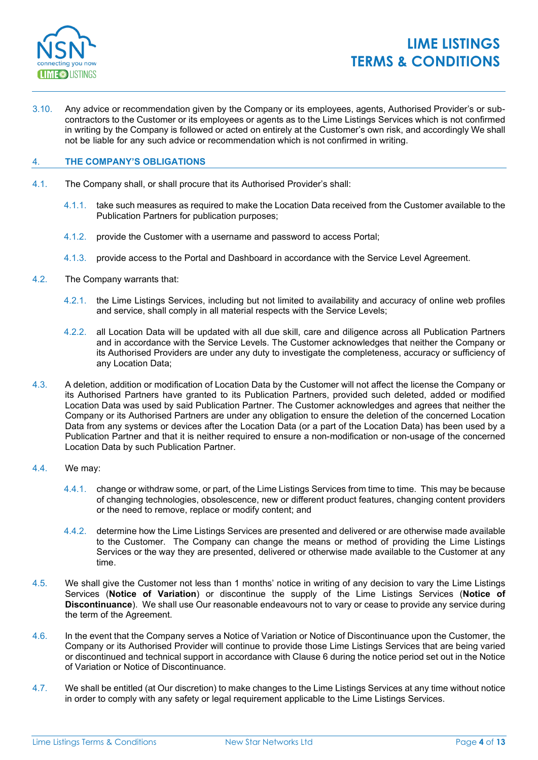

3.10. Any advice or recommendation given by the Company or its employees, agents, Authorised Provider's or subcontractors to the Customer or its employees or agents as to the Lime Listings Services which is not confirmed in writing by the Company is followed or acted on entirely at the Customer's own risk, and accordingly We shall not be liable for any such advice or recommendation which is not confirmed in writing.

### 4. **THE COMPANY'S OBLIGATIONS**

- 4.1. The Company shall, or shall procure that its Authorised Provider's shall:
	- 4.1.1. take such measures as required to make the Location Data received from the Customer available to the Publication Partners for publication purposes;
	- 4.1.2. provide the Customer with a username and password to access Portal;
	- 4.1.3. provide access to the Portal and Dashboard in accordance with the Service Level Agreement.
- 4.2. The Company warrants that:
	- 4.2.1. the Lime Listings Services, including but not limited to availability and accuracy of online web profiles and service, shall comply in all material respects with the Service Levels;
	- 4.2.2. all Location Data will be updated with all due skill, care and diligence across all Publication Partners and in accordance with the Service Levels. The Customer acknowledges that neither the Company or its Authorised Providers are under any duty to investigate the completeness, accuracy or sufficiency of any Location Data;
- 4.3. A deletion, addition or modification of Location Data by the Customer will not affect the license the Company or its Authorised Partners have granted to its Publication Partners, provided such deleted, added or modified Location Data was used by said Publication Partner. The Customer acknowledges and agrees that neither the Company or its Authorised Partners are under any obligation to ensure the deletion of the concerned Location Data from any systems or devices after the Location Data (or a part of the Location Data) has been used by a Publication Partner and that it is neither required to ensure a non-modification or non-usage of the concerned Location Data by such Publication Partner.
- 4.4. We may:
	- 4.4.1. change or withdraw some, or part, of the Lime Listings Services from time to time. This may be because of changing technologies, obsolescence, new or different product features, changing content providers or the need to remove, replace or modify content; and
	- 4.4.2. determine how the Lime Listings Services are presented and delivered or are otherwise made available to the Customer. The Company can change the means or method of providing the Lime Listings Services or the way they are presented, delivered or otherwise made available to the Customer at any time.
- 4.5. We shall give the Customer not less than 1 months' notice in writing of any decision to vary the Lime Listings Services (**Notice of Variation**) or discontinue the supply of the Lime Listings Services (**Notice of Discontinuance**). We shall use Our reasonable endeavours not to vary or cease to provide any service during the term of the Agreement.
- 4.6. In the event that the Company serves a Notice of Variation or Notice of Discontinuance upon the Customer, the Company or its Authorised Provider will continue to provide those Lime Listings Services that are being varied or discontinued and technical support in accordance with Clause 6 during the notice period set out in the Notice of Variation or Notice of Discontinuance.
- 4.7. We shall be entitled (at Our discretion) to make changes to the Lime Listings Services at any time without notice in order to comply with any safety or legal requirement applicable to the Lime Listings Services.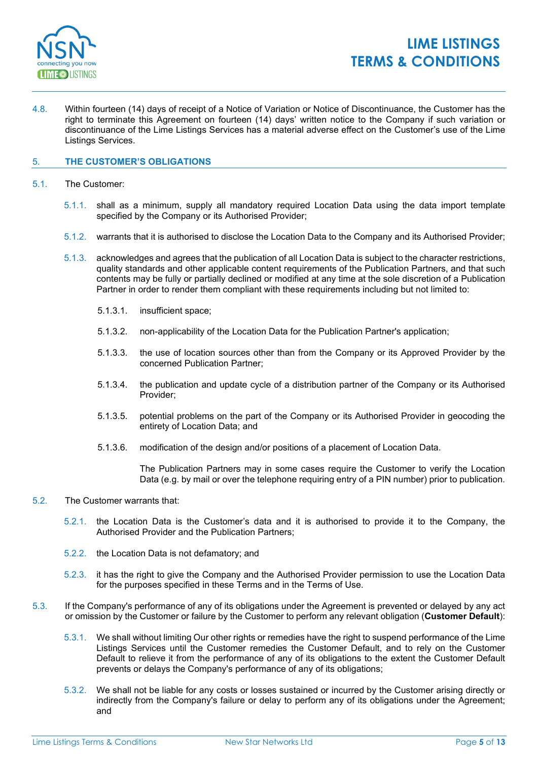

4.8. Within fourteen (14) days of receipt of a Notice of Variation or Notice of Discontinuance, the Customer has the right to terminate this Agreement on fourteen (14) days' written notice to the Company if such variation or discontinuance of the Lime Listings Services has a material adverse effect on the Customer's use of the Lime Listings Services.

## 5. **THE CUSTOMER'S OBLIGATIONS**

- 5.1. The Customer:
	- 5.1.1. shall as a minimum, supply all mandatory required Location Data using the data import template specified by the Company or its Authorised Provider;
	- 5.1.2. warrants that it is authorised to disclose the Location Data to the Company and its Authorised Provider;
	- 5.1.3. acknowledges and agrees that the publication of all Location Data is subject to the character restrictions, quality standards and other applicable content requirements of the Publication Partners, and that such contents may be fully or partially declined or modified at any time at the sole discretion of a Publication Partner in order to render them compliant with these requirements including but not limited to:
		- 5.1.3.1. insufficient space;
		- 5.1.3.2. non-applicability of the Location Data for the Publication Partner's application;
		- 5.1.3.3. the use of location sources other than from the Company or its Approved Provider by the concerned Publication Partner;
		- 5.1.3.4. the publication and update cycle of a distribution partner of the Company or its Authorised Provider;
		- 5.1.3.5. potential problems on the part of the Company or its Authorised Provider in geocoding the entirety of Location Data; and
		- 5.1.3.6. modification of the design and/or positions of a placement of Location Data.

The Publication Partners may in some cases require the Customer to verify the Location Data (e.g. by mail or over the telephone requiring entry of a PIN number) prior to publication.

### 5.2. The Customer warrants that:

- 5.2.1. the Location Data is the Customer's data and it is authorised to provide it to the Company, the Authorised Provider and the Publication Partners;
- 5.2.2. the Location Data is not defamatory; and
- 5.2.3. it has the right to give the Company and the Authorised Provider permission to use the Location Data for the purposes specified in these Terms and in the Terms of Use.
- 5.3. If the Company's performance of any of its obligations under the Agreement is prevented or delayed by any act or omission by the Customer or failure by the Customer to perform any relevant obligation (**Customer Default**):
	- 5.3.1. We shall without limiting Our other rights or remedies have the right to suspend performance of the Lime Listings Services until the Customer remedies the Customer Default, and to rely on the Customer Default to relieve it from the performance of any of its obligations to the extent the Customer Default prevents or delays the Company's performance of any of its obligations;
	- 5.3.2. We shall not be liable for any costs or losses sustained or incurred by the Customer arising directly or indirectly from the Company's failure or delay to perform any of its obligations under the Agreement; and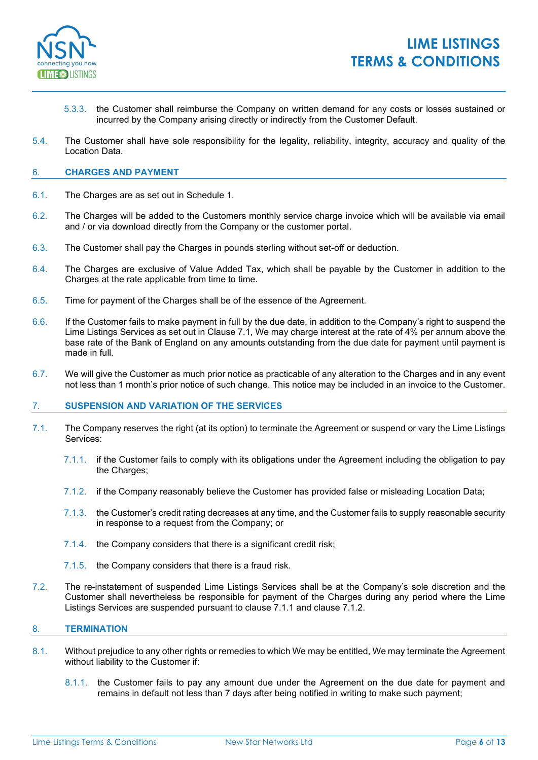

- 5.3.3. the Customer shall reimburse the Company on written demand for any costs or losses sustained or incurred by the Company arising directly or indirectly from the Customer Default.
- 5.4. The Customer shall have sole responsibility for the legality, reliability, integrity, accuracy and quality of the Location Data.

### 6. **CHARGES AND PAYMENT**

- 6.1. The Charges are as set out in Schedule 1.
- 6.2. The Charges will be added to the Customers monthly service charge invoice which will be available via email and / or via download directly from the Company or the customer portal.
- 6.3. The Customer shall pay the Charges in pounds sterling without set-off or deduction.
- 6.4. The Charges are exclusive of Value Added Tax, which shall be payable by the Customer in addition to the Charges at the rate applicable from time to time.
- 6.5. Time for payment of the Charges shall be of the essence of the Agreement.
- 6.6. If the Customer fails to make payment in full by the due date, in addition to the Company's right to suspend the Lime Listings Services as set out in Clause 7.1, We may charge interest at the rate of 4% per annum above the base rate of the Bank of England on any amounts outstanding from the due date for payment until payment is made in full.
- 6.7. We will give the Customer as much prior notice as practicable of any alteration to the Charges and in any event not less than 1 month's prior notice of such change. This notice may be included in an invoice to the Customer.

#### 7. **SUSPENSION AND VARIATION OF THE SERVICES**

- 7.1. The Company reserves the right (at its option) to terminate the Agreement or suspend or vary the Lime Listings Services:
	- 7.1.1. if the Customer fails to comply with its obligations under the Agreement including the obligation to pay the Charges;
	- 7.1.2. if the Company reasonably believe the Customer has provided false or misleading Location Data;
	- 7.1.3. the Customer's credit rating decreases at any time, and the Customer fails to supply reasonable security in response to a request from the Company; or
	- 7.1.4. the Company considers that there is a significant credit risk;
	- 7.1.5. the Company considers that there is a fraud risk.
- 7.2. The re-instatement of suspended Lime Listings Services shall be at the Company's sole discretion and the Customer shall nevertheless be responsible for payment of the Charges during any period where the Lime Listings Services are suspended pursuant to clause 7.1.1 and clause 7.1.2.

#### 8. **TERMINATION**

- 8.1. Without prejudice to any other rights or remedies to which We may be entitled, We may terminate the Agreement without liability to the Customer if:
	- 8.1.1. the Customer fails to pay any amount due under the Agreement on the due date for payment and remains in default not less than 7 days after being notified in writing to make such payment;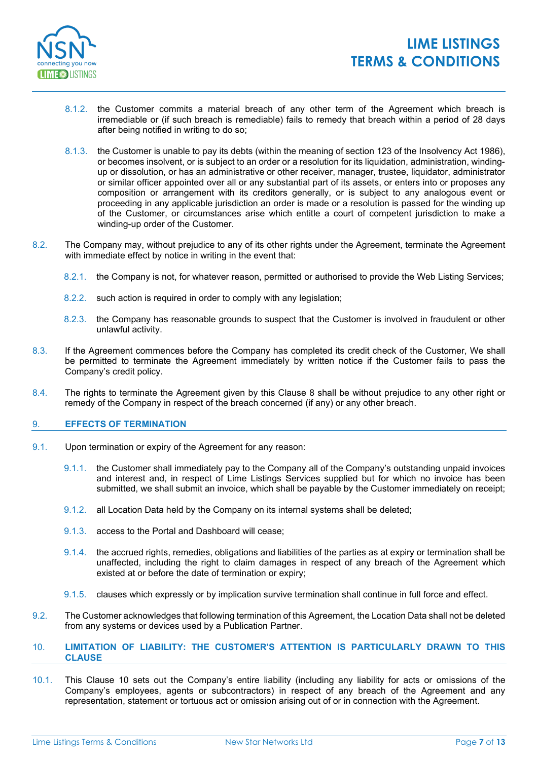

- 8.1.2. the Customer commits a material breach of any other term of the Agreement which breach is irremediable or (if such breach is remediable) fails to remedy that breach within a period of 28 days after being notified in writing to do so;
- 8.1.3. the Customer is unable to pay its debts (within the meaning of section 123 of the Insolvency Act 1986), or becomes insolvent, or is subject to an order or a resolution for its liquidation, administration, windingup or dissolution, or has an administrative or other receiver, manager, trustee, liquidator, administrator or similar officer appointed over all or any substantial part of its assets, or enters into or proposes any composition or arrangement with its creditors generally, or is subject to any analogous event or proceeding in any applicable jurisdiction an order is made or a resolution is passed for the winding up of the Customer, or circumstances arise which entitle a court of competent jurisdiction to make a winding-up order of the Customer.
- 8.2. The Company may, without prejudice to any of its other rights under the Agreement, terminate the Agreement with immediate effect by notice in writing in the event that:
	- 8.2.1. the Company is not, for whatever reason, permitted or authorised to provide the Web Listing Services;
	- 8.2.2. such action is required in order to comply with any legislation;
	- 8.2.3. the Company has reasonable grounds to suspect that the Customer is involved in fraudulent or other unlawful activity.
- 8.3. If the Agreement commences before the Company has completed its credit check of the Customer, We shall be permitted to terminate the Agreement immediately by written notice if the Customer fails to pass the Company's credit policy.
- 8.4. The rights to terminate the Agreement given by this Clause 8 shall be without prejudice to any other right or remedy of the Company in respect of the breach concerned (if any) or any other breach.

## 9. **EFFECTS OF TERMINATION**

- 9.1. Upon termination or expiry of the Agreement for any reason:
	- 9.1.1. the Customer shall immediately pay to the Company all of the Company's outstanding unpaid invoices and interest and, in respect of Lime Listings Services supplied but for which no invoice has been submitted, we shall submit an invoice, which shall be payable by the Customer immediately on receipt;
	- 9.1.2. all Location Data held by the Company on its internal systems shall be deleted;
	- 9.1.3. access to the Portal and Dashboard will cease;
	- 9.1.4. the accrued rights, remedies, obligations and liabilities of the parties as at expiry or termination shall be unaffected, including the right to claim damages in respect of any breach of the Agreement which existed at or before the date of termination or expiry;
	- 9.1.5. clauses which expressly or by implication survive termination shall continue in full force and effect.
- 9.2. The Customer acknowledges that following termination of this Agreement, the Location Data shall not be deleted from any systems or devices used by a Publication Partner.

## 10. **LIMITATION OF LIABILITY: THE CUSTOMER'S ATTENTION IS PARTICULARLY DRAWN TO THIS CLAUSE**

10.1. This Clause 10 sets out the Company's entire liability (including any liability for acts or omissions of the Company's employees, agents or subcontractors) in respect of any breach of the Agreement and any representation, statement or tortuous act or omission arising out of or in connection with the Agreement.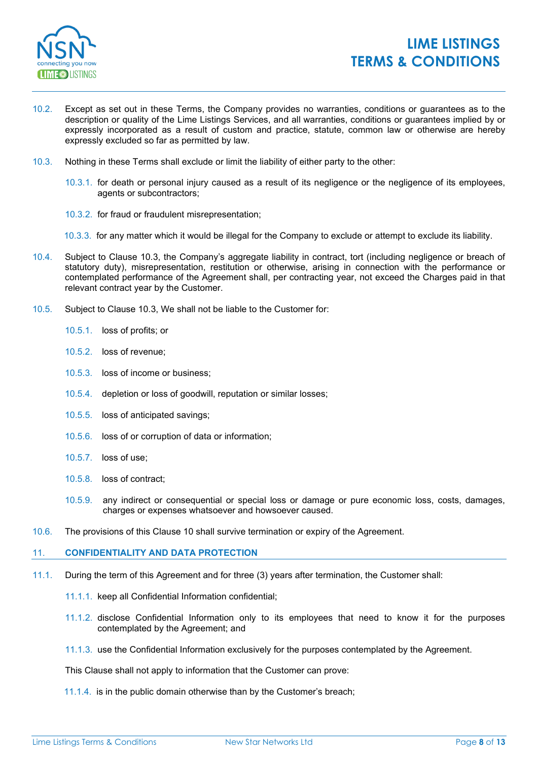

- 10.2. Except as set out in these Terms, the Company provides no warranties, conditions or guarantees as to the description or quality of the Lime Listings Services, and all warranties, conditions or guarantees implied by or expressly incorporated as a result of custom and practice, statute, common law or otherwise are hereby expressly excluded so far as permitted by law.
- 10.3. Nothing in these Terms shall exclude or limit the liability of either party to the other:
	- 10.3.1. for death or personal injury caused as a result of its negligence or the negligence of its employees, agents or subcontractors;
	- 10.3.2. for fraud or fraudulent misrepresentation;
	- 10.3.3. for any matter which it would be illegal for the Company to exclude or attempt to exclude its liability.
- 10.4. Subject to Clause 10.3, the Company's aggregate liability in contract, tort (including negligence or breach of statutory duty), misrepresentation, restitution or otherwise, arising in connection with the performance or contemplated performance of the Agreement shall, per contracting year, not exceed the Charges paid in that relevant contract year by the Customer.
- 10.5. Subject to Clause 10.3, We shall not be liable to the Customer for:
	- 10.5.1. loss of profits; or
	- 10.5.2. loss of revenue;
	- 10.5.3. loss of income or business;
	- 10.5.4. depletion or loss of goodwill, reputation or similar losses;
	- 10.5.5. loss of anticipated savings;
	- 10.5.6. loss of or corruption of data or information;
	- 10.5.7. loss of use;
	- 10.5.8. loss of contract;
	- 10.5.9. any indirect or consequential or special loss or damage or pure economic loss, costs, damages, charges or expenses whatsoever and howsoever caused.
- 10.6. The provisions of this Clause 10 shall survive termination or expiry of the Agreement.

#### 11. **CONFIDENTIALITY AND DATA PROTECTION**

- <span id="page-7-0"></span>11.1. During the term of this Agreement and for three (3) years after termination, the Customer shall:
	- 11.1.1. keep all Confidential Information confidential;
	- 11.1.2. disclose Confidential Information only to its employees that need to know it for the purposes contemplated by the Agreement; and
	- 11.1.3. use the Confidential Information exclusively for the purposes contemplated by the Agreement.

This Clause shall not apply to information that the Customer can prove:

11.1.4. is in the public domain otherwise than by the Customer's breach;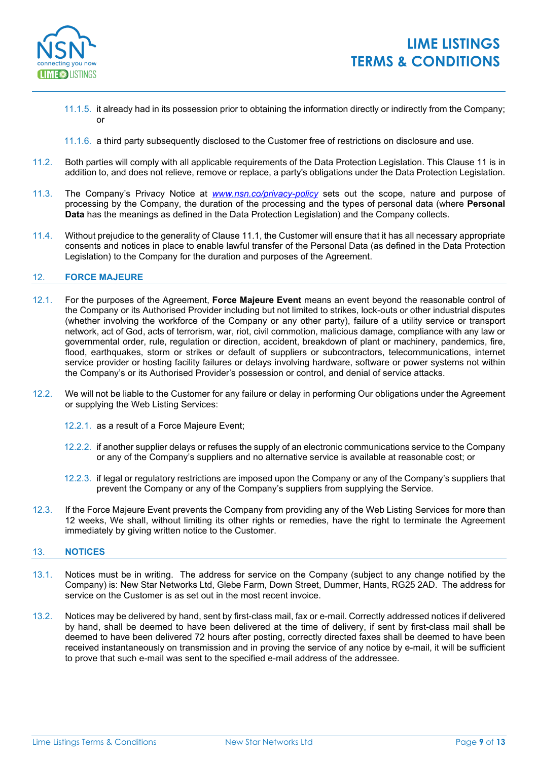

- 11.1.5. it already had in its possession prior to obtaining the information directly or indirectly from the Company; or
- 11.1.6. a third party subsequently disclosed to the Customer free of restrictions on disclosure and use.
- 11.2. Both parties will comply with all applicable requirements of the Data Protection Legislation. This Clause 11 is in addition to, and does not relieve, remove or replace, a party's obligations under the Data Protection Legislation.
- 11.3. The Company's Privacy Notice at *[www.nsn.co/privacy-policy](https://www.nsn.co/privacy-policy/)* sets out the scope, nature and purpose of processing by the Company, the duration of the processing and the types of personal data (where **Personal Data** has the meanings as defined in the Data Protection Legislation) and the Company collects.
- 11.4. Without prejudice to the generality of Clause [11.1,](#page-7-0) the Customer will ensure that it has all necessary appropriate consents and notices in place to enable lawful transfer of the Personal Data (as defined in the Data Protection Legislation) to the Company for the duration and purposes of the Agreement.

### 12. **FORCE MAJEURE**

- 12.1. For the purposes of the Agreement, **Force Majeure Event** means an event beyond the reasonable control of the Company or its Authorised Provider including but not limited to strikes, lock-outs or other industrial disputes (whether involving the workforce of the Company or any other party), failure of a utility service or transport network, act of God, acts of terrorism, war, riot, civil commotion, malicious damage, compliance with any law or governmental order, rule, regulation or direction, accident, breakdown of plant or machinery, pandemics, fire, flood, earthquakes, storm or strikes or default of suppliers or subcontractors, telecommunications, internet service provider or hosting facility failures or delays involving hardware, software or power systems not within the Company's or its Authorised Provider's possession or control, and denial of service attacks.
- 12.2. We will not be liable to the Customer for any failure or delay in performing Our obligations under the Agreement or supplying the Web Listing Services:
	- 12.2.1. as a result of a Force Majeure Event;
	- 12.2.2. if another supplier delays or refuses the supply of an electronic communications service to the Company or any of the Company's suppliers and no alternative service is available at reasonable cost; or
	- 12.2.3. if legal or regulatory restrictions are imposed upon the Company or any of the Company's suppliers that prevent the Company or any of the Company's suppliers from supplying the Service.
- 12.3. If the Force Majeure Event prevents the Company from providing any of the Web Listing Services for more than 12 weeks, We shall, without limiting its other rights or remedies, have the right to terminate the Agreement immediately by giving written notice to the Customer.

#### 13. **NOTICES**

- 13.1. Notices must be in writing. The address for service on the Company (subject to any change notified by the Company) is: New Star Networks Ltd, Glebe Farm, Down Street, Dummer, Hants, RG25 2AD. The address for service on the Customer is as set out in the most recent invoice.
- 13.2. Notices may be delivered by hand, sent by first-class mail, fax or e-mail. Correctly addressed notices if delivered by hand, shall be deemed to have been delivered at the time of delivery, if sent by first-class mail shall be deemed to have been delivered 72 hours after posting, correctly directed faxes shall be deemed to have been received instantaneously on transmission and in proving the service of any notice by e-mail, it will be sufficient to prove that such e-mail was sent to the specified e-mail address of the addressee.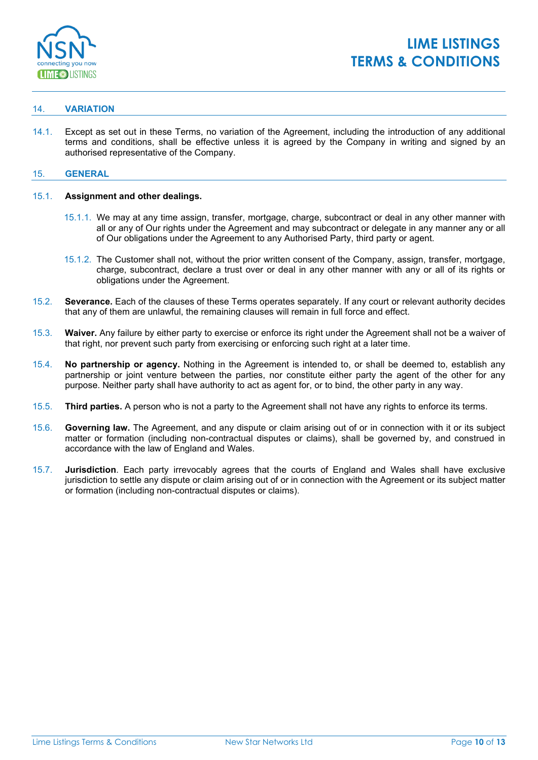

## 14. **VARIATION**

14.1. Except as set out in these Terms, no variation of the Agreement, including the introduction of any additional terms and conditions, shall be effective unless it is agreed by the Company in writing and signed by an authorised representative of the Company.

## 15. **GENERAL**

#### 15.1. **Assignment and other dealings.**

- 15.1.1. We may at any time assign, transfer, mortgage, charge, subcontract or deal in any other manner with all or any of Our rights under the Agreement and may subcontract or delegate in any manner any or all of Our obligations under the Agreement to any Authorised Party, third party or agent.
- 15.1.2. The Customer shall not, without the prior written consent of the Company, assign, transfer, mortgage, charge, subcontract, declare a trust over or deal in any other manner with any or all of its rights or obligations under the Agreement.
- 15.2. **Severance.** Each of the clauses of these Terms operates separately. If any court or relevant authority decides that any of them are unlawful, the remaining clauses will remain in full force and effect.
- 15.3. **Waiver.** Any failure by either party to exercise or enforce its right under the Agreement shall not be a waiver of that right, nor prevent such party from exercising or enforcing such right at a later time.
- 15.4. **No partnership or agency.** Nothing in the Agreement is intended to, or shall be deemed to, establish any partnership or joint venture between the parties, nor constitute either party the agent of the other for any purpose. Neither party shall have authority to act as agent for, or to bind, the other party in any way.
- 15.5. **Third parties.** A person who is not a party to the Agreement shall not have any rights to enforce its terms.
- 15.6. **Governing law.** The Agreement, and any dispute or claim arising out of or in connection with it or its subject matter or formation (including non-contractual disputes or claims), shall be governed by, and construed in accordance with the law of England and Wales.
- 15.7. **Jurisdiction**. Each party irrevocably agrees that the courts of England and Wales shall have exclusive jurisdiction to settle any dispute or claim arising out of or in connection with the Agreement or its subject matter or formation (including non-contractual disputes or claims).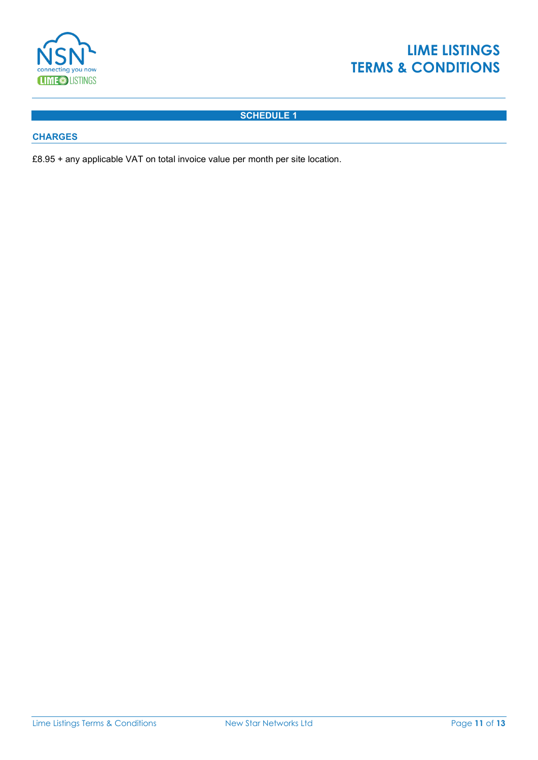

# **LIME LISTINGS TERMS & CONDITIONS**

## **SCHEDULE 1**

## **CHARGES**

£8.95 + any applicable VAT on total invoice value per month per site location.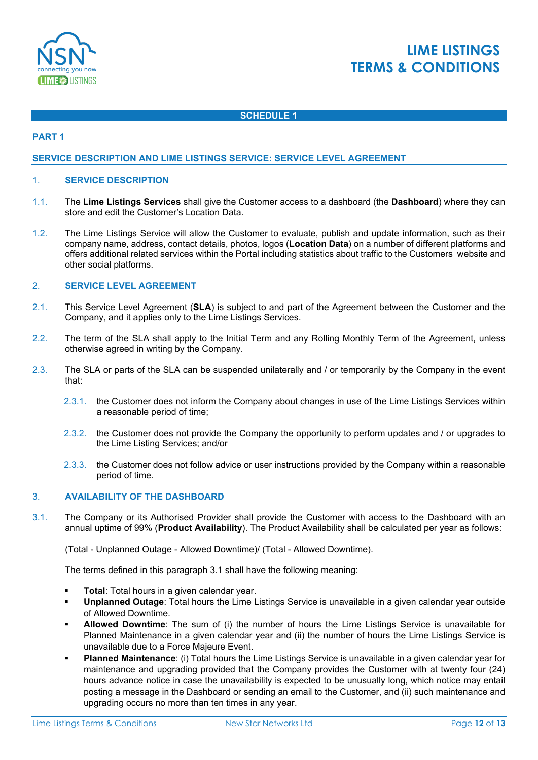

# **LIME LISTINGS TERMS & CONDITIONS**

## **SCHEDULE 1**

## **PART 1**

### **SERVICE DESCRIPTION AND LIME LISTINGS SERVICE: SERVICE LEVEL AGREEMENT**

#### 1. **SERVICE DESCRIPTION**

- 1.1. The **Lime Listings Services** shall give the Customer access to a dashboard (the **Dashboard**) where they can store and edit the Customer's Location Data.
- 1.2. The Lime Listings Service will allow the Customer to evaluate, publish and update information, such as their company name, address, contact details, photos, logos (**Location Data**) on a number of different platforms and offers additional related services within the Portal including statistics about traffic to the Customers website and other social platforms.

## 2. **SERVICE LEVEL AGREEMENT**

- 2.1. This Service Level Agreement (**SLA**) is subject to and part of the Agreement between the Customer and the Company, and it applies only to the Lime Listings Services.
- 2.2. The term of the SLA shall apply to the Initial Term and any Rolling Monthly Term of the Agreement, unless otherwise agreed in writing by the Company.
- 2.3. The SLA or parts of the SLA can be suspended unilaterally and / or temporarily by the Company in the event that:
	- 2.3.1. the Customer does not inform the Company about changes in use of the Lime Listings Services within a reasonable period of time;
	- 2.3.2. the Customer does not provide the Company the opportunity to perform updates and / or upgrades to the Lime Listing Services; and/or
	- 2.3.3. the Customer does not follow advice or user instructions provided by the Company within a reasonable period of time.

#### 3. **AVAILABILITY OF THE DASHBOARD**

3.1. The Company or its Authorised Provider shall provide the Customer with access to the Dashboard with an annual uptime of 99% (**Product Availability**). The Product Availability shall be calculated per year as follows:

(Total - Unplanned Outage - Allowed Downtime)/ (Total - Allowed Downtime).

The terms defined in this paragraph 3.1 shall have the following meaning:

- **Total**: Total hours in a given calendar year.
- **Unplanned Outage**: Total hours the Lime Listings Service is unavailable in a given calendar year outside of Allowed Downtime.
- **Allowed Downtime**: The sum of (i) the number of hours the Lime Listings Service is unavailable for Planned Maintenance in a given calendar year and (ii) the number of hours the Lime Listings Service is unavailable due to a Force Majeure Event.
- **Planned Maintenance**: (i) Total hours the Lime Listings Service is unavailable in a given calendar year for maintenance and upgrading provided that the Company provides the Customer with at twenty four (24) hours advance notice in case the unavailability is expected to be unusually long, which notice may entail posting a message in the Dashboard or sending an email to the Customer, and (ii) such maintenance and upgrading occurs no more than ten times in any year.